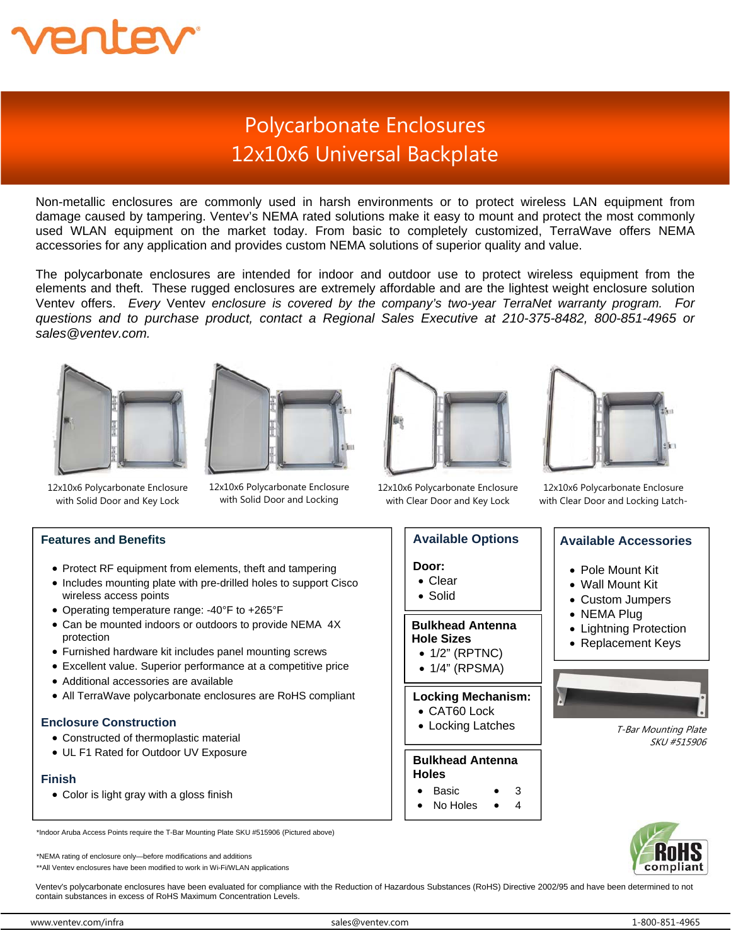

# Polycarbonate Enclosures 12x10x6 Universal Backplate

Non-metallic enclosures are commonly used in harsh environments or to protect wireless LAN equipment from damage caused by tampering. Ventev's NEMA rated solutions make it easy to mount and protect the most commonly used WLAN equipment on the market today. From basic to completely customized, TerraWave offers NEMA accessories for any application and provides custom NEMA solutions of superior quality and value.

The polycarbonate enclosures are intended for indoor and outdoor use to protect wireless equipment from the elements and theft. These rugged enclosures are extremely affordable and are the lightest weight enclosure solution Ventev offers. *Every* Ventev *enclosure is covered by the company's two-year TerraNet warranty program. For questions and to purchase product, contact a Regional Sales Executive at 210-375-8482, 800-851-4965 or sales@ventev.com.* 





12x10x6 Polycarbonate Enclosure with Solid Door and Key Lock

12x10x6 Polycarbonate Enclosure with Solid Door and Locking



12x10x6 Polycarbonate Enclosure with Clear Door and Key Lock

**Door:**  Clear Solid

**Available Options** 

 **Bulkhead Antenna** 

 1/2" (RPTNC) 1/4" (RPSMA)

 **Hole Sizes** 

**Bulkhead Antenna** 

**Locking Mechanism:**  CAT60 Lock Locking Latches

> 3 4

**Holes**   $\bullet$  Basic No Holes



12x10x6 Polycarbonate Enclosure with Clear Door and Locking Latch-

#### **Available Accessories**

#### Pole Mount Kit

- Wall Mount Kit
- Custom Jumpers
- NEMA Plug
- Lightning Protection
- Replacement Keys



T-Bar Mounting Plate SKU #515906



**Features and Benefits** 

- Protect RF equipment from elements, theft and tampering
- Includes mounting plate with pre-drilled holes to support Cisco wireless access points
- Operating temperature range: -40°F to +265°F
- Can be mounted indoors or outdoors to provide NEMA 4X protection
- Furnished hardware kit includes panel mounting screws
- Excellent value. Superior performance at a competitive price
- Additional accessories are available
- All TerraWave polycarbonate enclosures are RoHS compliant

### **Enclosure Construction**

- Constructed of thermoplastic material
- UL F1 Rated for Outdoor UV Exposure

### **Finish**

Color is light gray with a gloss finish

\*Indoor Aruba Access Points require the T-Bar Mounting Plate SKU #515906 (Pictured above)

\*NEMA rating of enclosure only—before modifications and additions

\*\*All Ventev enclosures have been modified to work in Wi-Fi/WLAN applications

Ventev's polycarbonate enclosures have been evaluated for compliance with the Reduction of Hazardous Substances (RoHS) Directive 2002/95 and have been determined to not contain substances in excess of RoHS Maximum Concentration Levels.